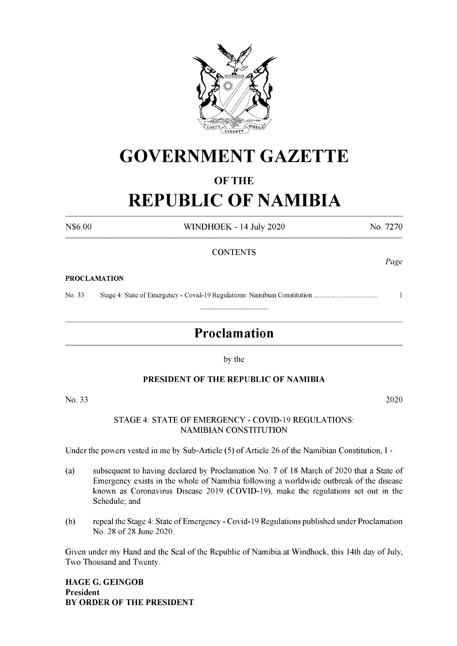

## **GOVERNMENT GAZETTE**

#### **OF THE**

# **REPUBLIC OF NAMIBIA**

N\$6.00 WINDHOEK - 14 July 2020 No. 7270

#### **CONTENTS**

#### **PROCLAMATION**

No. 33 Stage 4: State ofEmergency - Covid-19 Regulations: Namibian Constitution.................................... <sup>1</sup>

### **Proclamation**

by the

#### **PRESIDENT OF THE REPUBLIC OF NAMIBIA**

No. 33 2020

#### STAGE 4: STATE OF EMERGENCY - COVID-19 REGULATIONS: NAMIBIAN CONSTITUTION

Under the powers vested in me by Sub-Article (5) of Article 26 of the Namibian Constitution, I -

- (a) subsequent to having declared by Proclamation No. 7 of 18 March of 2020 that a State of Emergency exists in the whole of Namibia following a worldwide outbreak of the disease known as Coronavirus Disease 2019 (COVID-19), make the regulations set out in the Schedule; and
- (b) repeal the Stage 4: State of Emergency Covid-19 Regulations published under Proclamation No. 28 of 28 June 2020.

Given under my Hand and the Seal of the Republic of Namibia at Windhoek, this 14th day of July, Two Thousand and Twenty.

**HAGE G. GEINGOB President BY ORDER OF THE PRESIDENT** *Page*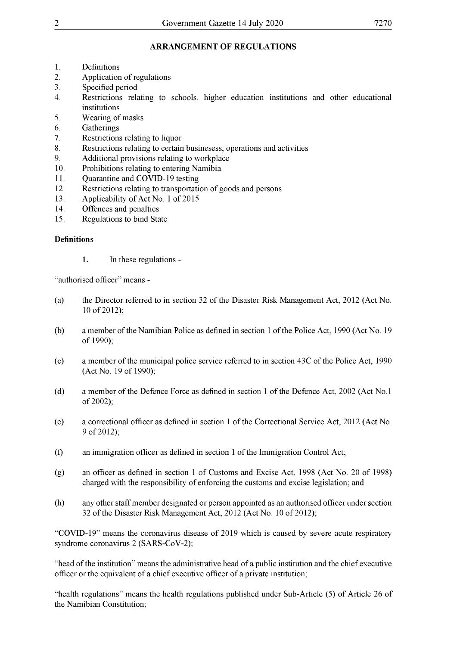#### **ARRANGEMENT OF REGULATIONS**

- 1. Definitions
- 2. Application of regulations
- 3. Specified period
- 4. Restrictions relating to schools, higher education institutions and other educational institutions
- 5. Wearing ofmasks
- 6. Gatherings
- 7. Restrictions relating to liquor
- 8. Restrictions relating to certain businesess, operations and activities
- 9. Additional provisions relating to workplace
- 10. Prohibitions relating to entering Namibia
- 11. Quarantine and COVID-19 testing
- 12. Restrictions relating to transportation of goods and persons
- 13. Applicability of Act No. 1 of 2015
- 14. Offences and penalties
- 15. Regulations to bind State

#### **Definitions**

**1.** In these regulations -

"authorised officer" means -

- (a) the Director referred to in section 32 ofthe Disaster Risk Management Act, 2012 (Act No. 10 of 2012);
- (b) a member ofthe Namibian Police as defined in section <sup>1</sup> ofthe Police Act, 1990 (Act No. 19 of 1990);
- (c) a member of the municipal police service referred to in section  $43C$  of the Police Act, 1990 (Act No. 19 of 1990);
- (d) a member of the Defence Force as defined in section 1 of the Defence Act, 2002 (Act No.1) of 2002);
- (e) a correctional officer as defined in section <sup>1</sup> ofthe Correctional Service Act, 2012 (Act No. 9 of 2012);
- $(f)$  an immigration officer as defined in section 1 of the Immigration Control Act;
- (g) an officer as defined in section <sup>1</sup> of Customs and Excise Act, 1998 (Act No. 20 of 1998) charged with the responsibility of enforcing the customs and excise legislation; and
- (h) any other staffmember designated or person appointed as an authorised officer under section 32 of the Disaster Risk Management Act, 2012 (Act No. 10 of 2012);

"COVID-19" means the coronavirus disease of 2019 which is caused by severe acute respiratory syndrome coronavirus 2 (SARS-CoV-2);

"head ofthe institution" means the administrative head of a public institution and the chief executive officer or the equivalent of a chief executive officer of a private institution;

"health regulations" means the health regulations published under Sub-Article (5) of Article 26 of the Namibian Constitution;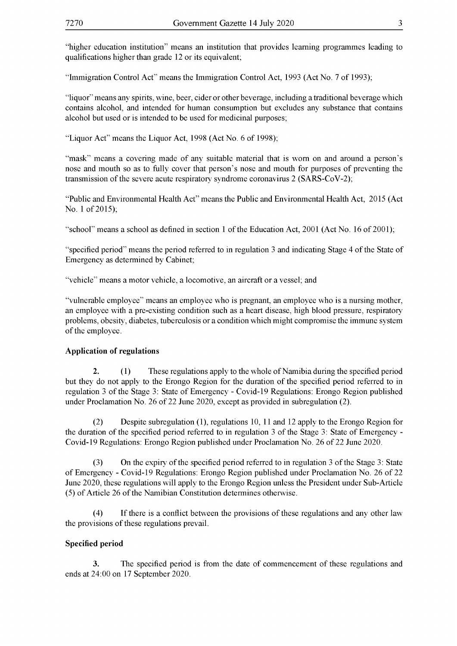"higher education institution" means an institution that provides learning programmes leading to qualifications higher than grade 12 or its equivalent;

"Immigration Control Act" means the Immigration Control Act, 1993 (Act No. 7 of 1993);

"liquor" means any spirits, wine, beer, cider or other beverage, including a traditional beverage which contains alcohol, and intended for human consumption but excludes any substance that contains alcohol but used or is intended to be used for medicinal purposes;

"Liquor Act" means the Liquor Act, 1998 (Act No. 6 of 1998);

"mask" means a covering made of any suitable material that is worn on and around a person's nose and mouth so as to fully cover that person's nose and mouth for purposes of preventing the transmission of the severe acute respiratory syndrome coronavirus 2 (SARS-CoV-2);

"Public and Environmental Health Act" means the Public and Environmental Health Act, 2015 (Act No. 1 of 2015);

"school" means a school as defined in section 1 of the Education Act, 2001 (Act No. 16 of 2001);

"specified period" means the period referred to in regulation 3 and indicating Stage 4 of the State of Emergency as determined by Cabinet;

"vehicle" means a motor vehicle, a locomotive, an aircraft or a vessel; and

"vulnerable employee" means an employee who is pregnant, an employee who is a nursing mother, an employee with a pre-existing condition such as a heart disease, high blood pressure, respiratory problems, obesity, diabetes, tuberculosis or a condition which might compromise the immune system of the employee.

#### **Application of regulations**

**2.** (1) These regulations apply to the whole of Namibia during the specified period but they do not apply to the Erongo Region for the duration of the specified period referred to in regulation 3 of the Stage 3: State of Emergency - Covid-19 Regulations: Erongo Region published under Proclamation No. 26 of 22 June 2020, except as provided in subregulation (2).

(2) Despite subregulation (1), regulations 10, 11 and 12 apply to the Erongo Region for the duration of the specified period referred to in regulation 3 of the Stage 3: State of Emergency -Covid-19 Regulations: Erongo Region published under Proclamation No. 26 of 22 June 2020.

(3) On the expiry ofthe specified period referred to in regulation <sup>3</sup> ofthe Stage 3: State of Emergency - Covid-19 Regulations: Erongo Region published under Proclamation No. 26 of 22 June 2020, these regulations will apply to the Erongo Region unless the President under Sub-Article (5) of Article 26 of the Namibian Constitution determines otherwise.

(4) If there is a conflict between the provisions of these regulations and any other law the provisions of these regulations prevail.

#### **Specified period**

**3.** The specified period is from the date of commencement of these regulations and ends at 24:00 on 17 September 2020.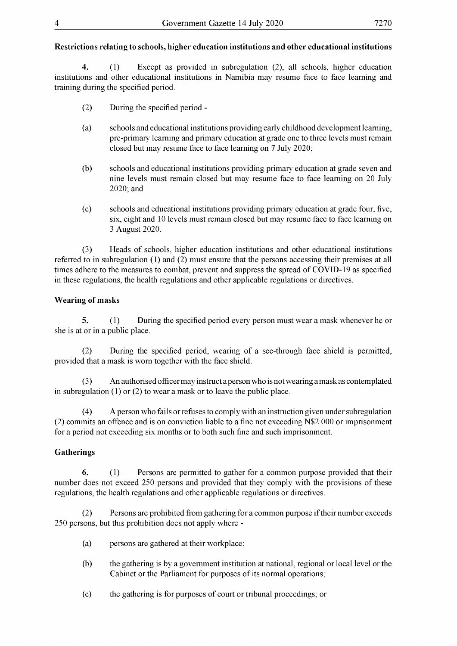#### **Restrictions relating to schools, higher education institutions and other educational institutions**

**4.** (1) Except as provided in subregulation (2), all schools, higher education institutions and other educational institutions in Namibia may resume face to face learning and training during the specified period.

- (2) During the specified period -
- (a) schools and educational institutions providing early childhood development learning, pre-primary learning and primary education at grade one to three levels must remain closed but may resume face to face learning on 7 July 2020;
- (b) schools and educational institutions providing primary education at grade seven and nine levels must remain closed but may resume face to face learning on 20 July 2020; and
- (c) schools and educational institutions providing primary education at grade four, five, six, eight and 10 levels must remain closed but may resume face to face learning on 3 August 2020.

(3) Heads of schools, higher education institutions and other educational institutions referred to in subregulation (1) and (2) must ensure that the persons accessing their premises at all times adhere to the measures to combat, prevent and suppress the spread of COVID-19 as specified in these regulations, the health regulations and other applicable regulations or directives.

#### **Wearing of masks**

**5.** (1) During the specified period every person must wear a mask whenever he or she is at or in a public place.

(2) During the specified period, wearing of a see-through face shield is permitted, provided that a mask is worn together with the face shield.

(3) An authorised officermay instructaperson who is notwearing amask as contemplated in subregulation (1) or (2) to wear a mask or to leave the public place.

(4) A person who fails or refuses to comply with an instruction given under subregulation (2) commits an offence and is on conviction liable to a fine not exceeding N\$2 000 or imprisonment for a period not exceeding six months or to both such fine and such imprisonment.

#### **Gatherings**

**6.** (1) Persons are permitted to gather for a common purpose provided that their number does not exceed 250 persons and provided that they comply with the provisions of these regulations, the health regulations and other applicable regulations or directives.

(2) Persons are prohibited from gathering for a common purpose iftheir number exceeds 250 persons, but this prohibition does not apply where -

- (a) persons are gathered at their workplace;
- (b) the gathering is by a government institution at national, regional or local level or the Cabinet or the Parliament for purposes of its normal operations;
- (c) the gathering is for purposes of court or tribunal proceedings; or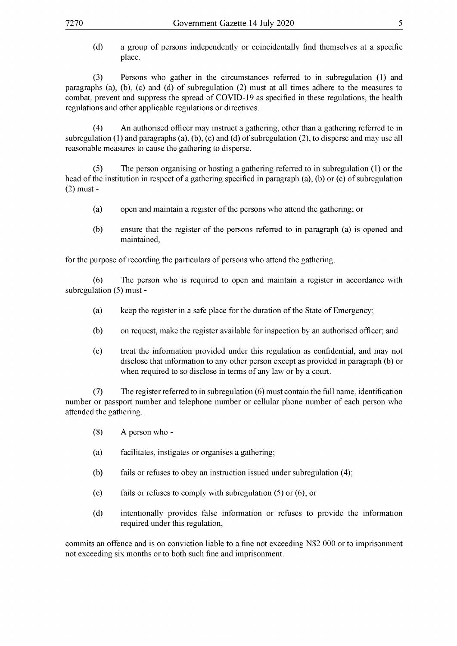(d) a group of persons independently or coincidentally find themselves at a specific place.

(3) Persons who gather in the circumstances referred to in subregulation (1) and paragraphs (a), (b), (c) and (d) of subregulation (2) must at all times adhere to the measures to combat, prevent and suppress the spread of COVID-19 as specified in these regulations, the health regulations and other applicable regulations or directives.

(4) An authorised officer may instruct a gathering, other than a gathering referred to in subregulation (1) and paragraphs (a), (b), (c) and (d) of subregulation (2), to disperse and may use all reasonable measures to cause the gathering to disperse.

(5) The person organising or hosting a gathering referred to in subregulation (1) or the head of the institution in respect of a gathering specified in paragraph (a), (b) or (c) of subregulation (2) must -

- (a) open and maintain a register of the persons who attend the gathering; or
- (b) ensure that the register of the persons referred to in paragraph (a) is opened and maintained,

for the purpose of recording the particulars of persons who attend the gathering.

(6) The person who is required to open and maintain a register in accordance with subregulation (5) must -

- (a) keep the register in a safe place for the duration of the State of Emergency;
- (b) on request, make the register available for inspection by an authorised officer; and
- (c) treat the information provided under this regulation as confidential, and may not disclose that information to any other person except as provided in paragraph (b) or when required to so disclose in terms of any law or by a court.

(7) The register referred to in subregulation (6) must contain the full name, identification number or passport number and telephone number or cellular phone number of each person who attended the gathering.

- (8) A person who -
- (a) facilitates, instigates or organises a gathering;
- (b) fails or refuses to obey an instruction issued under subregulation (4);
- (c) fails or refuses to comply with subregulation (5) or (6); or
- (d) intentionally provides false information or refuses to provide the information required under this regulation,

commits an offence and is on conviction liable to a fine not exceeding N\$2 000 or to imprisonment not exceeding six months or to both such fine and imprisonment.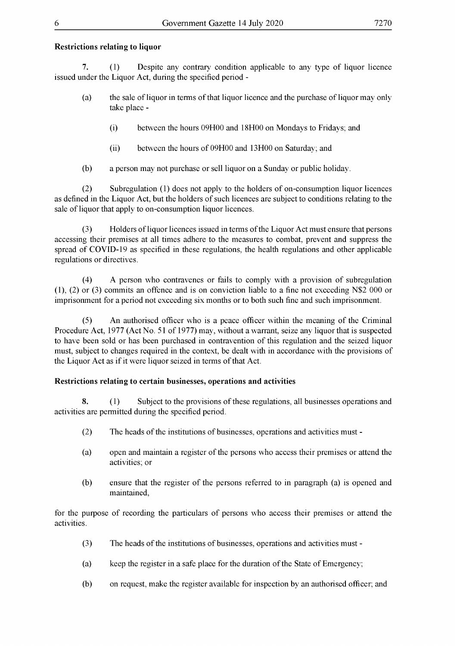#### **Restrictions relating to liquor**

**7.** (1) Despite any contrary condition applicable to any type of liquor licence issued under the Liquor Act, during the specified period -

- (a) the sale ofliquor in terms ofthat liquor licence and the purchase ofliquor may only take place -
	- (i) between the hours 09H00 and 18H00 on Mondays to Fridays; and
	- (ii) between the hours of 09H00 and 13H00 on Saturday; and
- (b) a person may not purchase or sell liquor on a Sunday or public holiday.

(2) Subregulation (1) does not apply to the holders of on-consumption liquor licences as defined in the Liquor Act, but the holders of such licences are subject to conditions relating to the sale of liquor that apply to on-consumption liquor licences.

(3) Holders of liquor licences issued in terms of the Liquor Act must ensure that persons accessing their premises at all times adhere to the measures to combat, prevent and suppress the spread of COVID-19 as specified in these regulations, the health regulations and other applicable regulations or directives.

(4) A person who contravenes or fails to comply with a provision of subregulation (1) , (2) or (3) commits an offence and is on conviction liable to a fine not exceeding N\$2 000 or imprisonment for a period not exceeding six months or to both such fine and such imprisonment.

(5) An authorised officer who is a peace officer within the meaning of the Criminal Procedure Act, 1977 (Act No. 51 of 1977) may, without a warrant, seize any liquor that is suspected to have been sold or has been purchased in contravention of this regulation and the seized liquor must, subject to changes required in the context, be dealt with in accordance with the provisions of the Liquor Act as if it were liquor seized in terms of that Act.

#### **Restrictions relating to certain businesses, operations and activities**

**8.** (1) Subject to the provisions of these regulations, all businesses operations and activities are permitted during the specified period.

- (2) The heads of the institutions of businesses, operations and activities must -
- (a) open and maintain a register ofthe persons who access their premises or attend the activities; or
- (b) ensure that the register of the persons referred to in paragraph (a) is opened and maintained,

for the purpose of recording the particulars of persons who access their premises or attend the activities.

- (3) The heads of the institutions of businesses, operations and activities must -
- (a) keep the register in a safe place for the duration of the State of Emergency;
- (b) on request, make the register available for inspection by an authorised officer; and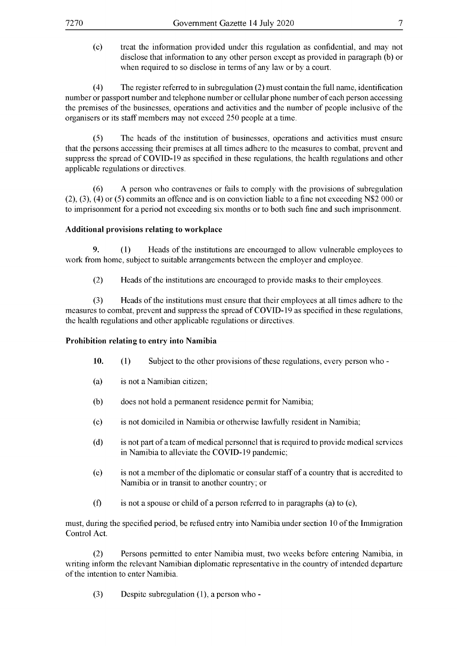(c) treat the information provided under this regulation as confidential, and may not disclose that information to any other person except as provided in paragraph (b) or when required to so disclose in terms of any law or by a court.

(4) The register referred to in subregulation  $(2)$  must contain the full name, identification number or passport number and telephone number or cellular phone number ofeach person accessing the premises of the businesses, operations and activities and the number of people inclusive of the organisers or its staffmembers may not exceed 250 people at a time.

(5) The heads of the institution of businesses, operations and activities must ensure that the persons accessing their premises at all times adhere to the measures to combat, prevent and suppress the spread of COVID-19 as specified in these regulations, the health regulations and other applicable regulations or directives.

(6) A person who contravenes or fails to comply with the provisions of subregulation (2), (3), (4) or (5) commits an offence and is on conviction liable to a fine not exceeding N\$2 000 or to imprisonment for a period not exceeding six months or to both such fine and such imprisonment.

#### **Additional provisions relating to workplace**

**9.** (1) Heads of the institutions are encouraged to allow vulnerable employees to work from home, subject to suitable arrangements between the employer and employee.

(2) Heads ofthe institutions are encouraged to provide masks to their employees.

(3) Heads ofthe institutions must ensure that their employees at all times adhere to the measures to combat, prevent and suppress the spread of COVID-19 as specified in these regulations, the health regulations and other applicable regulations or directives.

#### **Prohibition relating to entry into Namibia**

- **10.** (1) Subject to the other provisions of these regulations, every person who -
- (a) is not a Namibian citizen;
- (b) does not hold a permanent residence permit for Namibia;
- (c) is not domiciled in Namibia or otherwise lawfully resident in Namibia;
- $(d)$  is not part of a team of medical personnel that is required to provide medical services in Namibia to alleviate the COVID-19 pandemic;
- (e) is not a member ofthe diplomatic or consular staffof a country that is accredited to Namibia or in transit to another country; or
- (f) is not a spouse or child of a person referred to in paragraphs (a) to (e),

must, during the specified period, be refused entry into Namibia under section 10 ofthe Immigration Control Act.

(2) Persons permitted to enter Namibia must, two weeks before entering Namibia, in writing inform the relevant Namibian diplomatic representative in the country of intended departure of the intention to enter Namibia.

(3) Despite subregulation (1), a person who -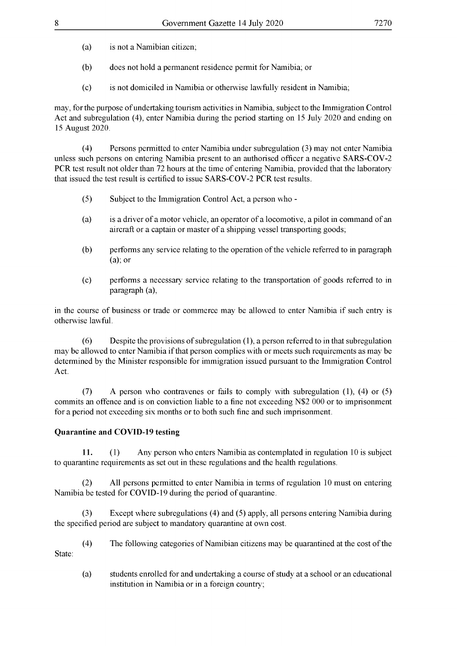- (a) is not a Namibian citizen;
- (b) does not hold a permanent residence permit for Namibia; or
- (c) is not domiciled in Namibia or otherwise lawfully resident in Namibia;

may, for the purpose of undertaking tourism activities in Namibia, subject to the Immigration Control Act and subregulation (4), enter Namibia during the period starting on 15 July 2020 and ending on 15 August 2020.

(4) Persons permitted to enter Namibia under subregulation (3) may not enter Namibia unless such persons on entering Namibia present to an authorised officer a negative SARS-COV-2 PCR test result not older than 72 hours at the time of entering Namibia, provided that the laboratory that issued the test result is certified to issue SARS-COV-2 PCR test results.

- (5) Subject to the Immigration Control Act, a person who -
- (a) is a driver of a motor vehicle, an operator of a locomotive, a pilot in command of an aircraft or a captain or master of a shipping vessel transporting goods;
- (b) performs any service relating to the operation of the vehicle referred to in paragraph (a); or
- (c) performs a necessary service relating to the transportation of goods referred to in paragraph (a),

in the course of business or trade or commerce may be allowed to enter Namibia if such entry is otherwise lawful.

 $(6)$  Despite the provisions of subregulation  $(1)$ , a person referred to in that subregulation may be allowed to enter Namibia if that person complies with or meets such requirements as may be determined by the Minister responsible for immigration issued pursuant to the Immigration Control Act.

(7) A person who contravenes or fails to comply with subregulation (1), (4) or (5) commits an offence and is on conviction liable to a fine not exceeding N\$2 000 or to imprisonment for a period not exceeding six months or to both such fine and such imprisonment.

#### **Quarantine and COVID-19 testing**

**11.** (1) Any person who enters Namibia as contemplated in regulation 10 is subject to quarantine requirements as set out in these regulations and the health regulations.

(2) All persons permitted to enter Namibia in terms of regulation 10 must on entering Namibia be tested for COVID-19 during the period of quarantine.

(3) Except where subregulations (4) and (5) apply, all persons entering Namibia during the specified period are subject to mandatory quarantine at own cost.

(4) The following categories of Namibian citizens may be quarantined at the cost of the State:

(a) students enrolled for and undertaking a course of study at a school or an educational institution in Namibia or in a foreign country;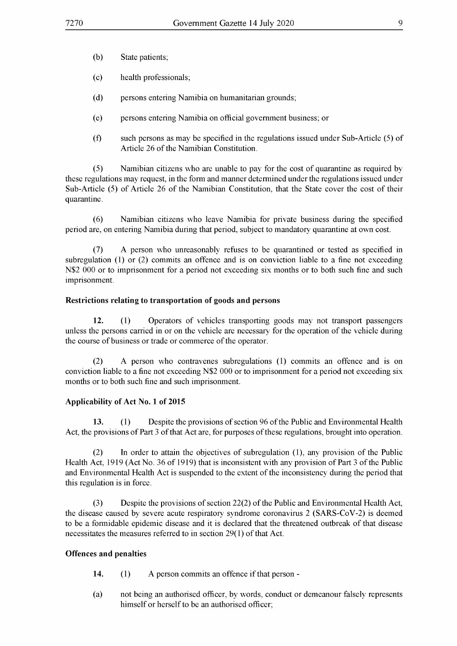- (b) State patients;
- (c) health professionals;
- (d) persons entering Namibia on humanitarian grounds;
- (e) persons entering Namibia on officialgovernment business; or
- (f) such persons as may be specified in the regulations issued under Sub-Article (5) of Article 26 of the Namibian Constitution.

(5) Namibian citizens who are unable to pay for the cost of quarantine as required by these regulations may request, in the form and manner determined under the regulations issued under Sub-Article (5) of Article 26 of the Namibian Constitution, that the State cover the cost of their quarantine.

(6) Namibian citizens who leave Namibia for private business during the specified period are, on entering Namibia during that period, subject to mandatory quarantine at own cost.

(7) A person who unreasonably refuses to be quarantined or tested as specified in subregulation (1) or (2) commits an offence and is on conviction liable to a fine not exceeding N\$2 000 or to imprisonment for a period not exceeding six months or to both such fine and such imprisonment.

#### **Restrictions relating to transportation of goods and persons**

**12.** (1) Operators of vehicles transporting goods may not transport passengers unless the persons carried in or on the vehicle are necessary for the operation of the vehicle during the course of business or trade or commerce of the operator.

(2) A person who contravenes subregulations (1) commits an offence and is on conviction liable to a fine not exceeding N\$2 000 or to imprisonment for a period not exceeding six months or to both such fine and such imprisonment.

#### **Applicability of Act No. 1 of 2015**

**13.** (1) Despite the provisions of section 96 of the Public and Environmental Health Act, the provisions of Part 3 of that Act are, for purposes of these regulations, brought into operation.

(2) In order to attain the objectives of subregulation (1), any provision of the Public Health Act, 1919 (Act No. 36 of 1919) that is inconsistent with any provision of Part 3 of the Public and Environmental Health Act is suspended to the extent of the inconsistency during the period that this regulation is in force.

(3) Despite the provisions of section 22(2) of the Public and Environmental Health Act, the disease caused by severe acute respiratory syndrome coronavirus 2 (SARS-CoV-2) is deemed to be a formidable epidemic disease and it is declared that the threatened outbreak ofthat disease necessitates the measures referred to in section  $29(1)$  of that Act.

#### **Offences and penalties**

- **14.** (1) A person commits an offence if that person -
- (a) not being an authorised officer, by words, conduct or demeanour falsely represents himself or herself to be an authorised officer;